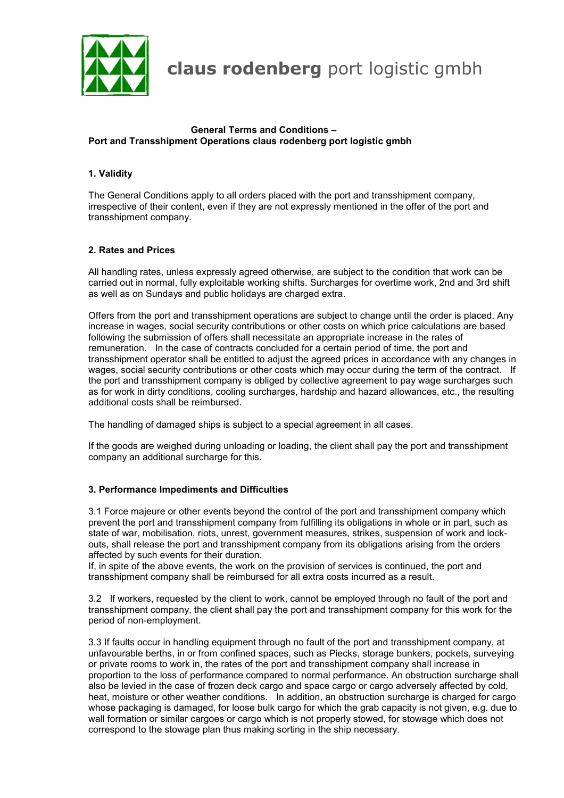

**claus rodenberg** port logistic gmbh

#### **General Terms and Conditions – Port and Transshipment Operations claus rodenberg port logistic gmbh**

## **1. Validity**

The General Conditions apply to all orders placed with the port and transshipment company, irrespective of their content, even if they are not expressly mentioned in the offer of the port and transshipment company.

### **2. Rates and Prices**

All handling rates, unless expressly agreed otherwise, are subject to the condition that work can be carried out in normal, fully exploitable working shifts. Surcharges for overtime work, 2nd and 3rd shift as well as on Sundays and public holidays are charged extra.

Offers from the port and transshipment operations are subject to change until the order is placed. Any increase in wages, social security contributions or other costs on which price calculations are based following the submission of offers shall necessitate an appropriate increase in the rates of remuneration. In the case of contracts concluded for a certain period of time, the port and transshipment operator shall be entitled to adjust the agreed prices in accordance with any changes in wages, social security contributions or other costs which may occur during the term of the contract. If the port and transshipment company is obliged by collective agreement to pay wage surcharges such as for work in dirty conditions, cooling surcharges, hardship and hazard allowances, etc., the resulting additional costs shall be reimbursed.

The handling of damaged ships is subject to a special agreement in all cases.

If the goods are weighed during unloading or loading, the client shall pay the port and transshipment company an additional surcharge for this.

### **3. Performance Impediments and Difficulties**

3.1 Force majeure or other events beyond the control of the port and transshipment company which prevent the port and transshipment company from fulfilling its obligations in whole or in part, such as state of war, mobilisation, riots, unrest, government measures, strikes, suspension of work and lockouts, shall release the port and transshipment company from its obligations arising from the orders affected by such events for their duration.

If, in spite of the above events, the work on the provision of services is continued, the port and transshipment company shall be reimbursed for all extra costs incurred as a result.

3.2 If workers, requested by the client to work, cannot be employed through no fault of the port and transshipment company, the client shall pay the port and transshipment company for this work for the period of non-employment.

3.3 If faults occur in handling equipment through no fault of the port and transshipment company, at unfavourable berths, in or from confined spaces, such as Piecks, storage bunkers, pockets, surveying or private rooms to work in, the rates of the port and transshipment company shall increase in proportion to the loss of performance compared to normal performance. An obstruction surcharge shall also be levied in the case of frozen deck cargo and space cargo or cargo adversely affected by cold, heat, moisture or other weather conditions. In addition, an obstruction surcharge is charged for cargo whose packaging is damaged, for loose bulk cargo for which the grab capacity is not given, e.g. due to wall formation or similar cargoes or cargo which is not properly stowed, for stowage which does not correspond to the stowage plan thus making sorting in the ship necessary.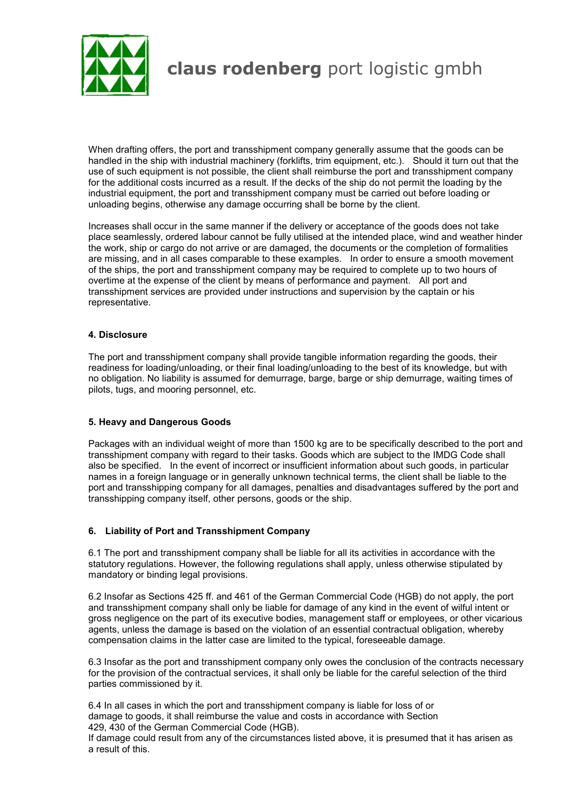

# **claus rodenberg** port logistic gmbh

When drafting offers, the port and transshipment company generally assume that the goods can be handled in the ship with industrial machinery (forklifts, trim equipment, etc.). Should it turn out that the use of such equipment is not possible, the client shall reimburse the port and transshipment company for the additional costs incurred as a result. If the decks of the ship do not permit the loading by the industrial equipment, the port and transshipment company must be carried out before loading or unloading begins, otherwise any damage occurring shall be borne by the client.

Increases shall occur in the same manner if the delivery or acceptance of the goods does not take place seamlessly, ordered labour cannot be fully utilised at the intended place, wind and weather hinder the work, ship or cargo do not arrive or are damaged, the documents or the completion of formalities are missing, and in all cases comparable to these examples. In order to ensure a smooth movement of the ships, the port and transshipment company may be required to complete up to two hours of overtime at the expense of the client by means of performance and payment. All port and transshipment services are provided under instructions and supervision by the captain or his representative.

### **4. Disclosure**

The port and transshipment company shall provide tangible information regarding the goods, their readiness for loading/unloading, or their final loading/unloading to the best of its knowledge, but with no obligation. No liability is assumed for demurrage, barge, barge or ship demurrage, waiting times of pilots, tugs, and mooring personnel, etc.

### **5. Heavy and Dangerous Goods**

Packages with an individual weight of more than 1500 kg are to be specifically described to the port and transshipment company with regard to their tasks. Goods which are subject to the IMDG Code shall also be specified. In the event of incorrect or insufficient information about such goods, in particular names in a foreign language or in generally unknown technical terms, the client shall be liable to the port and transshipping company for all damages, penalties and disadvantages suffered by the port and transshipping company itself, other persons, goods or the ship.

### **6. Liability of Port and Transshipment Company**

6.1 The port and transshipment company shall be liable for all its activities in accordance with the statutory regulations. However, the following regulations shall apply, unless otherwise stipulated by mandatory or binding legal provisions.

6.2 Insofar as Sections 425 ff. and 461 of the German Commercial Code (HGB) do not apply, the port and transshipment company shall only be liable for damage of any kind in the event of wilful intent or gross negligence on the part of its executive bodies, management staff or employees, or other vicarious agents, unless the damage is based on the violation of an essential contractual obligation, whereby compensation claims in the latter case are limited to the typical, foreseeable damage.

6.3 Insofar as the port and transshipment company only owes the conclusion of the contracts necessary for the provision of the contractual services, it shall only be liable for the careful selection of the third parties commissioned by it.

6.4 In all cases in which the port and transshipment company is liable for loss of or damage to goods, it shall reimburse the value and costs in accordance with Section 429, 430 of the German Commercial Code (HGB).

If damage could result from any of the circumstances listed above, it is presumed that it has arisen as a result of this.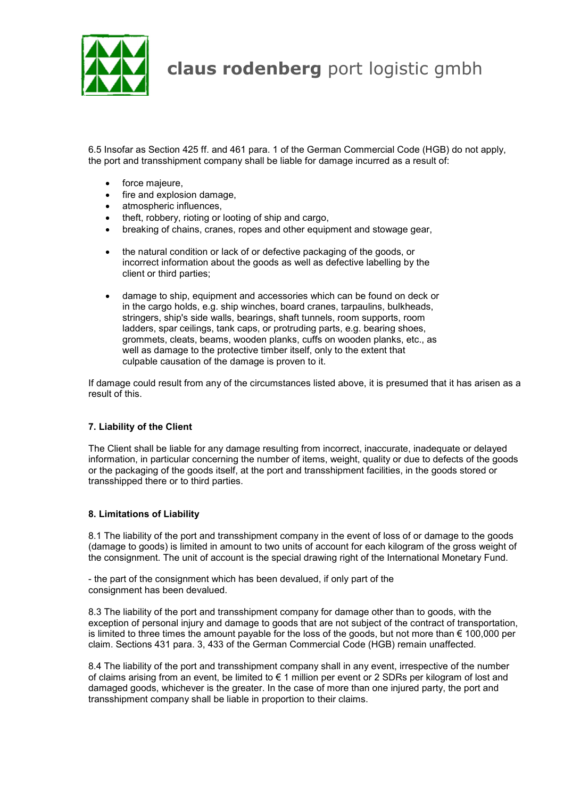

6.5 Insofar as Section 425 ff. and 461 para. 1 of the German Commercial Code (HGB) do not apply, the port and transshipment company shall be liable for damage incurred as a result of:

- force majeure,
- fire and explosion damage,
- atmospheric influences,
- theft, robbery, rioting or looting of ship and cargo,
- breaking of chains, cranes, ropes and other equipment and stowage gear,
- the natural condition or lack of or defective packaging of the goods, or incorrect information about the goods as well as defective labelling by the client or third parties;
- damage to ship, equipment and accessories which can be found on deck or in the cargo holds, e.g. ship winches, board cranes, tarpaulins, bulkheads, stringers, ship's side walls, bearings, shaft tunnels, room supports, room ladders, spar ceilings, tank caps, or protruding parts, e.g. bearing shoes, grommets, cleats, beams, wooden planks, cuffs on wooden planks, etc., as well as damage to the protective timber itself, only to the extent that culpable causation of the damage is proven to it.

If damage could result from any of the circumstances listed above, it is presumed that it has arisen as a result of this.

### **7. Liability of the Client**

The Client shall be liable for any damage resulting from incorrect, inaccurate, inadequate or delayed information, in particular concerning the number of items, weight, quality or due to defects of the goods or the packaging of the goods itself, at the port and transshipment facilities, in the goods stored or transshipped there or to third parties.

### **8. Limitations of Liability**

8.1 The liability of the port and transshipment company in the event of loss of or damage to the goods (damage to goods) is limited in amount to two units of account for each kilogram of the gross weight of the consignment. The unit of account is the special drawing right of the International Monetary Fund.

- the part of the consignment which has been devalued, if only part of the consignment has been devalued.

8.3 The liability of the port and transshipment company for damage other than to goods, with the exception of personal injury and damage to goods that are not subject of the contract of transportation, is limited to three times the amount payable for the loss of the goods, but not more than  $\epsilon$  100,000 per claim. Sections 431 para. 3, 433 of the German Commercial Code (HGB) remain unaffected.

8.4 The liability of the port and transshipment company shall in any event, irrespective of the number of claims arising from an event, be limited to € 1 million per event or 2 SDRs per kilogram of lost and damaged goods, whichever is the greater. In the case of more than one injured party, the port and transshipment company shall be liable in proportion to their claims.